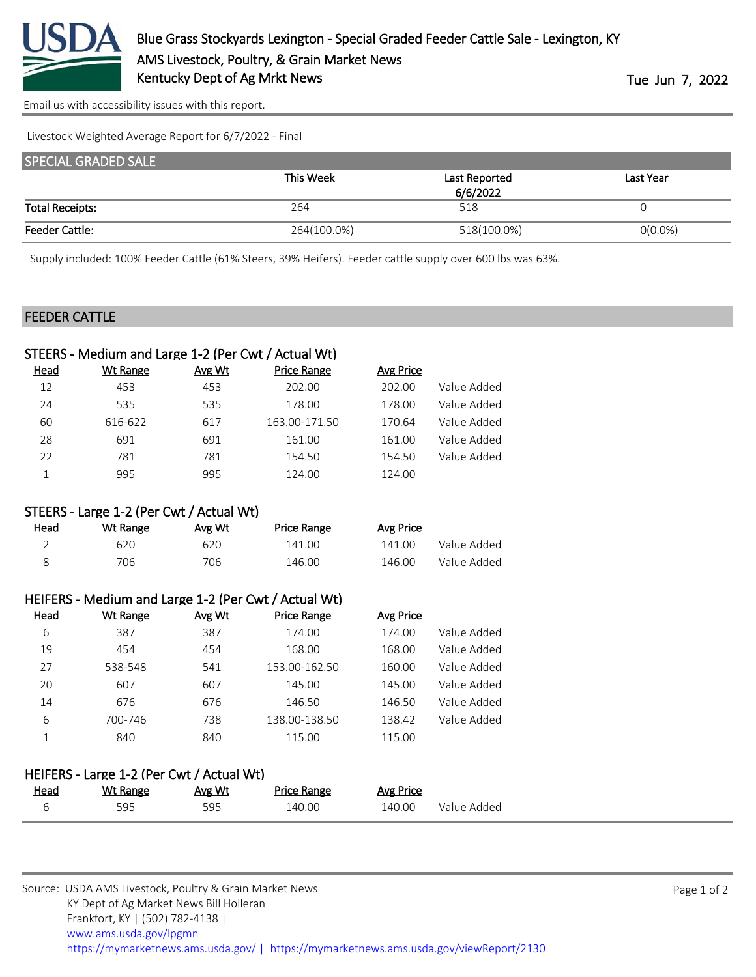

[Email us with accessibility issues with this report.](mailto:mars@ams.usda.gov?subject=508%20issue)

Livestock Weighted Average Report for 6/7/2022 - Final

| <b>SPECIAL GRADED SALE</b> |             |               |            |  |
|----------------------------|-------------|---------------|------------|--|
|                            | This Week   | Last Reported | Last Year  |  |
|                            |             |               |            |  |
| <b>Total Receipts:</b>     | 264         | 518           |            |  |
| <b>Feeder Cattle:</b>      | 264(100.0%) | 518(100.0%)   | $O(0.0\%)$ |  |

Supply included: 100% Feeder Cattle (61% Steers, 39% Heifers). Feeder cattle supply over 600 lbs was 63%.

## FEEDER CATTLE

|                                                      | STEERS - Medium and Large 1-2 (Per Cwt / Actual Wt) |        |                    |                  |             |  |
|------------------------------------------------------|-----------------------------------------------------|--------|--------------------|------------------|-------------|--|
| <u>Head</u>                                          | <b>Wt Range</b>                                     | Avg Wt | <b>Price Range</b> | <b>Avg Price</b> |             |  |
| 12                                                   | 453                                                 | 453    | 202.00             | 202.00           | Value Added |  |
| 24                                                   | 535                                                 | 535    | 178.00             | 178.00           | Value Added |  |
| 60                                                   | 616-622                                             | 617    | 163.00-171.50      | 170.64           | Value Added |  |
| 28                                                   | 691                                                 | 691    | 161.00             | 161.00           | Value Added |  |
| 22                                                   | 781                                                 | 781    | 154.50             | 154.50           | Value Added |  |
| 1                                                    | 995                                                 | 995    | 124.00             | 124.00           |             |  |
|                                                      |                                                     |        |                    |                  |             |  |
|                                                      | STEERS - Large 1-2 (Per Cwt / Actual Wt)            |        |                    |                  |             |  |
| Head                                                 | <b>Wt Range</b>                                     | Avg Wt | <b>Price Range</b> | <b>Avg Price</b> |             |  |
| $\overline{2}$                                       | 620                                                 | 620    | 141.00             | 141.00           | Value Added |  |
| 8                                                    | 706                                                 | 706    | 146.00             | 146.00           | Value Added |  |
|                                                      |                                                     |        |                    |                  |             |  |
| HEIFERS - Medium and Large 1-2 (Per Cwt / Actual Wt) |                                                     |        |                    |                  |             |  |
| Head                                                 | <b>Wt Range</b>                                     | Avg Wt | <b>Price Range</b> | <b>Avg Price</b> |             |  |
| 6                                                    | 387                                                 | 387    | 174.00             | 174.00           | Value Added |  |
| 19                                                   | 454                                                 | 454    | 168.00             | 168.00           | Value Added |  |
| 27                                                   | 538-548                                             | 541    | 153.00-162.50      | 160.00           | Value Added |  |
| 20                                                   | 607                                                 | 607    | 145.00             | 145.00           | Value Added |  |
| 14                                                   | 676                                                 | 676    | 146.50             | 146.50           | Value Added |  |
| 6                                                    | 700-746                                             | 738    | 138.00-138.50      | 138.42           | Value Added |  |
| 1                                                    | 840                                                 | 840    | 115.00             | 115.00           |             |  |
|                                                      |                                                     |        |                    |                  |             |  |
| HEIFERS - Large 1-2 (Per Cwt / Actual Wt)            |                                                     |        |                    |                  |             |  |
| <b>Head</b>                                          | <b>Wt Range</b>                                     | Avg Wt | <b>Price Range</b> | <b>Avg Price</b> |             |  |
| 6                                                    | 595                                                 | 595    | 140.00             | 140.00           | Value Added |  |